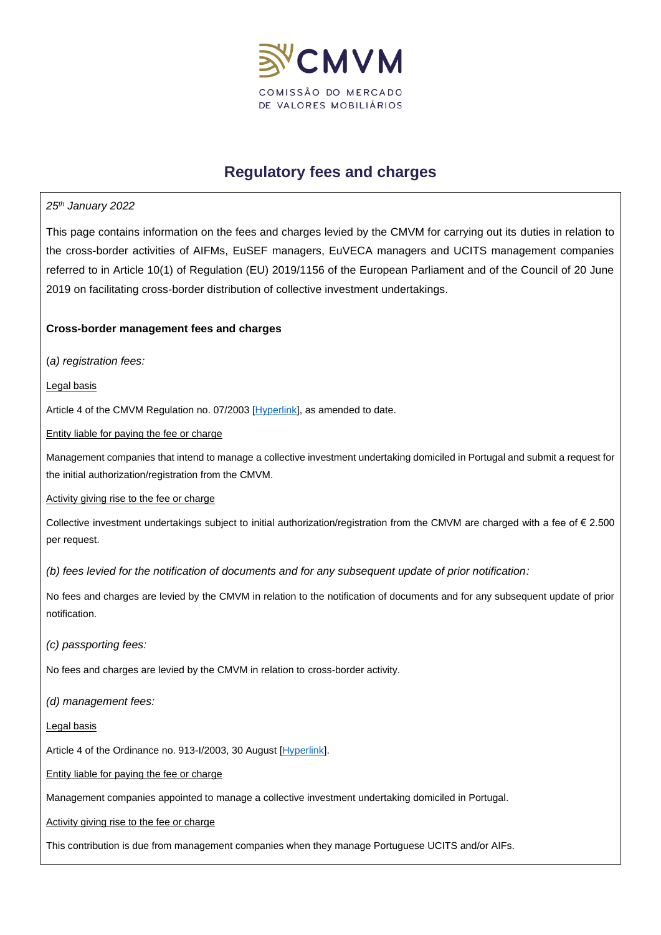

# **Regulatory fees and charges**

### *25th January 2022*

This page contains information on the fees and charges levied by the CMVM for carrying out its duties in relation to the cross-border activities of AIFMs, EuSEF managers, EuVECA managers and UCITS management companies referred to in Article 10(1) of Regulation (EU) 2019/1156 of the European Parliament and of the Council of 20 June 2019 on facilitating cross-border distribution of collective investment undertakings.

## **Cross-border management fees and charges**

(*a) registration fees:*

Legal basis

Article 4 of the CMVM Regulation no. 07/2003 [\[Hyperlink\],](https://www.cmvm.pt/pt/Legislacao/Legislacaonacional/Regulamentos/Pages/reg.2003_07_vconsolidada.aspx) as amended to date.

Entity liable for paying the fee or charge

Management companies that intend to manage a collective investment undertaking domiciled in Portugal and submit a request for the initial authorization/registration from the CMVM.

#### Activity giving rise to the fee or charge

Collective investment undertakings subject to initial authorization/registration from the CMVM are charged with a fee of € 2.500 per request.

*(b) fees levied for the notification of documents and for any subsequent update of prior notification:*

No fees and charges are levied by the CMVM in relation to the notification of documents and for any subsequent update of prior notification.

*(c) passporting fees:*

No fees and charges are levied by the CMVM in relation to cross-border activity.

*(d) management fees:*

Legal basis

Article 4 of the Ordinance no. 913-I/2003, 30 August [\[Hyperlink\]](https://www.cmvm.pt/pt/Legislacao/LegislacaoComplementar/CapitaldeRisco/Pages/Portaria-n-%C2%BA-913-I2003,-de-30-de-Agosto.aspx?v=).

Entity liable for paying the fee or charge

Management companies appointed to manage a collective investment undertaking domiciled in Portugal.

Activity giving rise to the fee or charge

This contribution is due from management companies when they manage Portuguese UCITS and/or AIFs.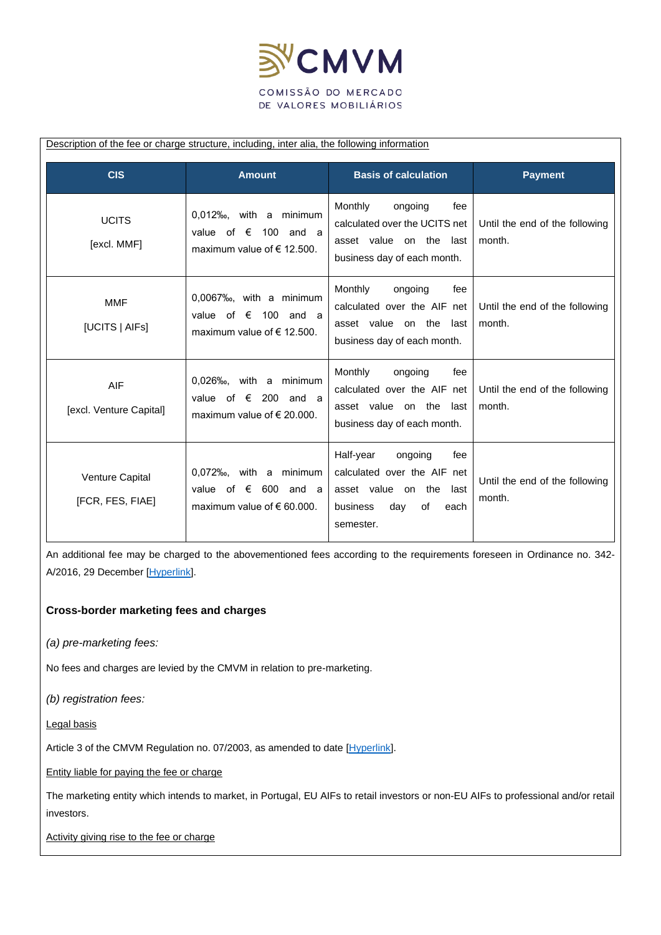

#### Description of the fee or charge structure, including, inter alia, the following information

| <b>CIS</b>                            | <b>Amount</b>                                                                                                      | <b>Basis of calculation</b>                                                                                                            | <b>Payment</b>                           |
|---------------------------------------|--------------------------------------------------------------------------------------------------------------------|----------------------------------------------------------------------------------------------------------------------------------------|------------------------------------------|
| <b>UCITS</b><br>[excl. MMF]           | $0,012\%$ <sub>0</sub> , with a minimum<br>value of $\epsilon$<br>100 and a<br>maximum value of $\epsilon$ 12.500. | Monthly<br>ongoing<br>fee<br>calculated over the UCITS net<br>asset value on the last<br>business day of each month.                   | Until the end of the following<br>month. |
| <b>MMF</b><br>[UCITS   AIFs]          | $0,0067\%$ <sub>0</sub> , with a minimum<br>value of $\epsilon$ 100 and a<br>maximum value of $\epsilon$ 12.500.   | Monthly<br>ongoing<br>fee<br>calculated over the AIF net<br>asset value on the<br>last<br>business day of each month.                  | Until the end of the following<br>month. |
| <b>AIF</b><br>[excl. Venture Capital] | 0,026‰, with a minimum<br>value of $\epsilon$ 200 and a<br>maximum value of $\epsilon$ 20.000.                     | Monthly<br>ongoing<br>fee<br>calculated over the AIF net<br>asset value on the<br>last<br>business day of each month.                  | Until the end of the following<br>month. |
| Venture Capital<br>[FCR, FES, FIAE]   | $0.072\%$ <sub>0</sub> , with a minimum<br>600 and a<br>value of $\epsilon$<br>maximum value of $\epsilon$ 60.000. | Half-year<br>ongoing<br>fee<br>calculated over the AIF net<br>asset value on the<br>last<br>day<br>business<br>οf<br>each<br>semester. | Until the end of the following<br>month. |

An additional fee may be charged to the abovementioned fees according to the requirements foreseen in Ordinance no. 342- A/2016, 29 December [\[Hyperlink\]](https://www.cmvm.pt/pt/Legislacao/LegislacaoComplementar/SistemafinanceiroSupervisaoCMVM/Pages/Portaria_342A_2016.aspx?v=).

#### **Cross-border marketing fees and charges**

*(a) pre-marketing fees:*

No fees and charges are levied by the CMVM in relation to pre-marketing.

*(b) registration fees:*

Legal basis

Article 3 of the CMVM Regulation no. 07/2003, as amended to date [\[Hyperlink\]](https://www.cmvm.pt/pt/Legislacao/Legislacaonacional/Regulamentos/Pages/reg.2003_07_vconsolidada.aspx).

Entity liable for paying the fee or charge

The marketing entity which intends to market, in Portugal, EU AIFs to retail investors or non-EU AIFs to professional and/or retail investors.

Activity giving rise to the fee or charge